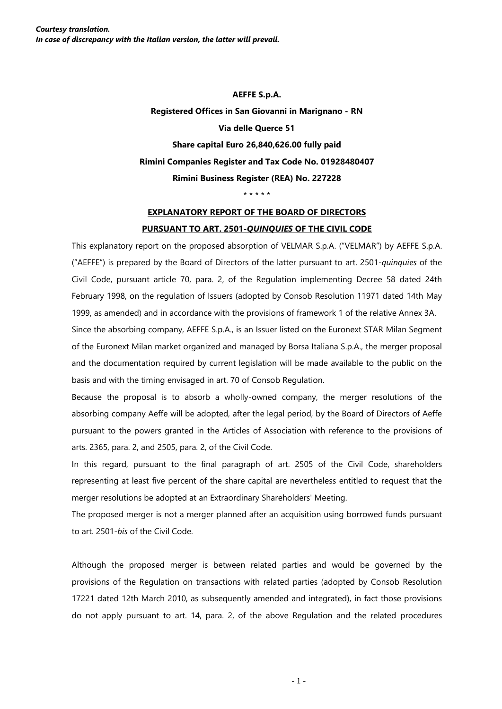**AEFFE S.p.A. Registered Offices in San Giovanni in Marignano - RN Via delle Querce 51 Share capital Euro 26,840,626.00 fully paid Rimini Companies Register and Tax Code No. 01928480407 Rimini Business Register (REA) No. 227228**

\* \* \* \* \*

## **EXPLANATORY REPORT OF THE BOARD OF DIRECTORS PURSUANT TO ART. 2501-***QUINQUIES* **OF THE CIVIL CODE**

This explanatory report on the proposed absorption of VELMAR S.p.A. ("VELMAR") by AEFFE S.p.A. ("AEFFE") is prepared by the Board of Directors of the latter pursuant to art. 2501-*quinquies* of the Civil Code, pursuant article 70, para. 2, of the Regulation implementing Decree 58 dated 24th February 1998, on the regulation of Issuers (adopted by Consob Resolution 11971 dated 14th May 1999, as amended) and in accordance with the provisions of framework 1 of the relative Annex 3A.

Since the absorbing company, AEFFE S.p.A., is an Issuer listed on the Euronext STAR Milan Segment of the Euronext Milan market organized and managed by Borsa Italiana S.p.A., the merger proposal and the documentation required by current legislation will be made available to the public on the basis and with the timing envisaged in art. 70 of Consob Regulation.

Because the proposal is to absorb a wholly-owned company, the merger resolutions of the absorbing company Aeffe will be adopted, after the legal period, by the Board of Directors of Aeffe pursuant to the powers granted in the Articles of Association with reference to the provisions of arts. 2365, para. 2, and 2505, para. 2, of the Civil Code.

In this regard, pursuant to the final paragraph of art. 2505 of the Civil Code, shareholders representing at least five percent of the share capital are nevertheless entitled to request that the merger resolutions be adopted at an Extraordinary Shareholders' Meeting.

The proposed merger is not a merger planned after an acquisition using borrowed funds pursuant to art. 2501-*bis* of the Civil Code.

Although the proposed merger is between related parties and would be governed by the provisions of the Regulation on transactions with related parties (adopted by Consob Resolution 17221 dated 12th March 2010, as subsequently amended and integrated), in fact those provisions do not apply pursuant to art. 14, para. 2, of the above Regulation and the related procedures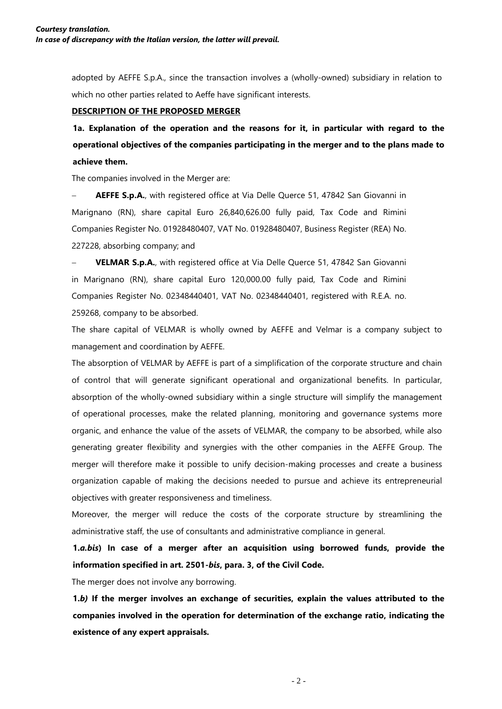adopted by AEFFE S.p.A., since the transaction involves a (wholly-owned) subsidiary in relation to which no other parties related to Aeffe have significant interests.

#### **DESCRIPTION OF THE PROPOSED MERGER**

**1a. Explanation of the operation and the reasons for it, in particular with regard to the operational objectives of the companies participating in the merger and to the plans made to achieve them.**

The companies involved in the Merger are:

AEFFE S.p.A., with registered office at Via Delle Querce 51, 47842 San Giovanni in Marignano (RN), share capital Euro 26,840,626.00 fully paid, Tax Code and Rimini Companies Register No. 01928480407, VAT No. 01928480407, Business Register (REA) No. 227228, absorbing company; and

− **VELMAR S.p.A.**, with registered office at Via Delle Querce 51, 47842 San Giovanni in Marignano (RN), share capital Euro 120,000.00 fully paid, Tax Code and Rimini Companies Register No. 02348440401, VAT No. 02348440401, registered with R.E.A. no. 259268, company to be absorbed.

The share capital of VELMAR is wholly owned by AEFFE and Velmar is a company subject to management and coordination by AEFFE.

The absorption of VELMAR by AEFFE is part of a simplification of the corporate structure and chain of control that will generate significant operational and organizational benefits. In particular, absorption of the wholly-owned subsidiary within a single structure will simplify the management of operational processes, make the related planning, monitoring and governance systems more organic, and enhance the value of the assets of VELMAR, the company to be absorbed, while also generating greater flexibility and synergies with the other companies in the AEFFE Group. The merger will therefore make it possible to unify decision-making processes and create a business organization capable of making the decisions needed to pursue and achieve its entrepreneurial objectives with greater responsiveness and timeliness.

Moreover, the merger will reduce the costs of the corporate structure by streamlining the administrative staff, the use of consultants and administrative compliance in general.

**1.***a.bis***) In case of a merger after an acquisition using borrowed funds, provide the information specified in art. 2501-***bis***, para. 3, of the Civil Code.**

The merger does not involve any borrowing.

**1.***b)* **If the merger involves an exchange of securities, explain the values attributed to the companies involved in the operation for determination of the exchange ratio, indicating the existence of any expert appraisals.**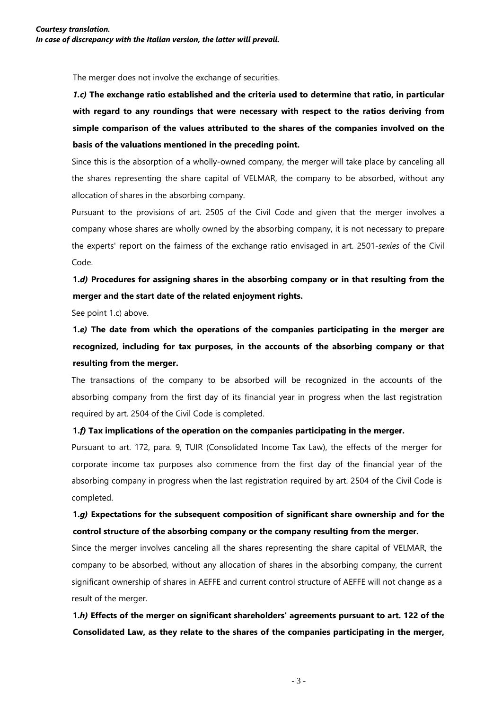The merger does not involve the exchange of securities.

*1.c)* **The exchange ratio established and the criteria used to determine that ratio, in particular with regard to any roundings that were necessary with respect to the ratios deriving from simple comparison of the values attributed to the shares of the companies involved on the basis of the valuations mentioned in the preceding point.**

Since this is the absorption of a wholly-owned company, the merger will take place by canceling all the shares representing the share capital of VELMAR, the company to be absorbed, without any allocation of shares in the absorbing company.

Pursuant to the provisions of art. 2505 of the Civil Code and given that the merger involves a company whose shares are wholly owned by the absorbing company, it is not necessary to prepare the experts' report on the fairness of the exchange ratio envisaged in art. 2501-*sexies* of the Civil Code.

# **1.***d)* **Procedures for assigning shares in the absorbing company or in that resulting from the merger and the start date of the related enjoyment rights.**

See point 1.c) above.

**1.***e)* **The date from which the operations of the companies participating in the merger are recognized, including for tax purposes, in the accounts of the absorbing company or that resulting from the merger.**

The transactions of the company to be absorbed will be recognized in the accounts of the absorbing company from the first day of its financial year in progress when the last registration required by art. 2504 of the Civil Code is completed.

### **1.***f)* **Tax implications of the operation on the companies participating in the merger.**

Pursuant to art. 172, para. 9, TUIR (Consolidated Income Tax Law), the effects of the merger for corporate income tax purposes also commence from the first day of the financial year of the absorbing company in progress when the last registration required by art. 2504 of the Civil Code is completed.

## **1.***g)* **Expectations for the subsequent composition of significant share ownership and for the control structure of the absorbing company or the company resulting from the merger.**

Since the merger involves canceling all the shares representing the share capital of VELMAR, the company to be absorbed, without any allocation of shares in the absorbing company, the current significant ownership of shares in AEFFE and current control structure of AEFFE will not change as a result of the merger.

**1.***h)* **Effects of the merger on significant shareholders' agreements pursuant to art. 122 of the Consolidated Law, as they relate to the shares of the companies participating in the merger,**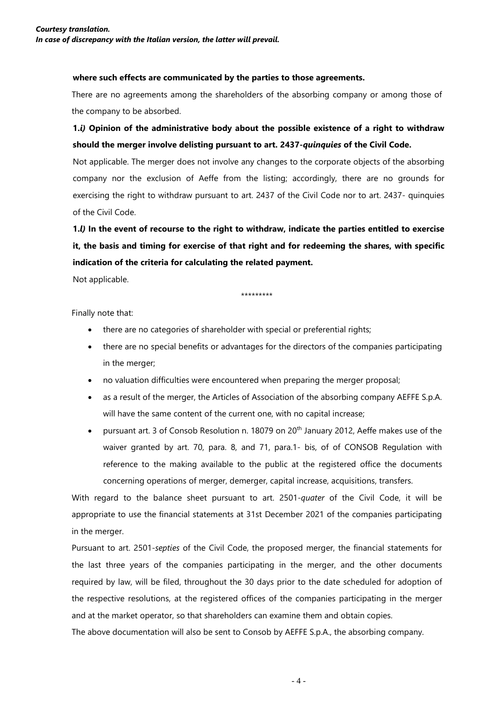#### **where such effects are communicated by the parties to those agreements.**

There are no agreements among the shareholders of the absorbing company or among those of the company to be absorbed.

# **1.***i)* **Opinion of the administrative body about the possible existence of a right to withdraw should the merger involve delisting pursuant to art. 2437-***quinquies* **of the Civil Code.**

Not applicable. The merger does not involve any changes to the corporate objects of the absorbing company nor the exclusion of Aeffe from the listing; accordingly, there are no grounds for exercising the right to withdraw pursuant to art. 2437 of the Civil Code nor to art. 2437- quinquies of the Civil Code.

**1.***l)* **In the event of recourse to the right to withdraw, indicate the parties entitled to exercise it, the basis and timing for exercise of that right and for redeeming the shares, with specific indication of the criteria for calculating the related payment.**

Not applicable.

\*\*\*\*\*\*\*\*\*

Finally note that:

- there are no categories of shareholder with special or preferential rights;
- there are no special benefits or advantages for the directors of the companies participating in the merger;
- no valuation difficulties were encountered when preparing the merger proposal;
- as a result of the merger, the Articles of Association of the absorbing company AEFFE S.p.A. will have the same content of the current one, with no capital increase;
- pursuant art. 3 of Consob Resolution n. 18079 on 20<sup>th</sup> January 2012, Aeffe makes use of the waiver granted by art. 70, para. 8, and 71, para.1- bis, of of CONSOB Regulation with reference to the making available to the public at the registered office the documents concerning operations of merger, demerger, capital increase, acquisitions, transfers.

With regard to the balance sheet pursuant to art. 2501-*quater* of the Civil Code, it will be appropriate to use the financial statements at 31st December 2021 of the companies participating in the merger.

Pursuant to art. 2501-*septies* of the Civil Code, the proposed merger, the financial statements for the last three years of the companies participating in the merger, and the other documents required by law, will be filed, throughout the 30 days prior to the date scheduled for adoption of the respective resolutions, at the registered offices of the companies participating in the merger and at the market operator, so that shareholders can examine them and obtain copies.

The above documentation will also be sent to Consob by AEFFE S.p.A., the absorbing company.